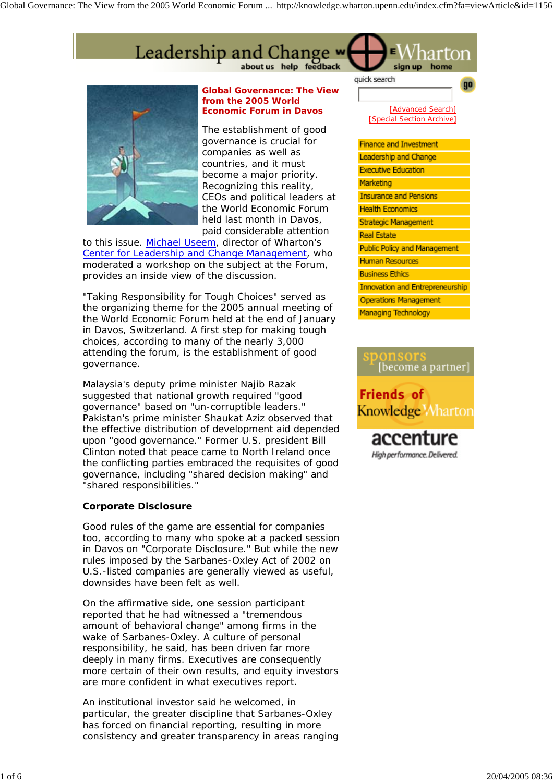Global Governance: The View from the 2005 World Economic Forum ... http://knowledge.wharton.upenn.edu/index.cfm?fa=viewArticle&id=1156





**Global Governance: The View from the 2005 World Economic Forum in Davos**

*The establishment of good governance is crucial for companies as well as countries, and it must become a major priority. Recognizing this reality, CEOs and political leaders at the World Economic Forum held last month in Davos, paid considerable attention* 

*to this issue. Michael Useem, director of Wharton's Center for Leadership and Change Management, who moderated a workshop on the subject at the Forum, provides an inside view of the discussion.* 

"Taking Responsibility for Tough Choices" served as the organizing theme for the 2005 annual meeting of the World Economic Forum held at the end of January in Davos, Switzerland. A first step for making tough choices, according to many of the nearly 3,000 attending the forum, is the establishment of good governance.

Malaysia's deputy prime minister Najib Razak suggested that national growth required "good governance" based on "un-corruptible leaders." Pakistan's prime minister Shaukat Aziz observed that the effective distribution of development aid depended upon "good governance." Former U.S. president Bill Clinton noted that peace came to North Ireland once the conflicting parties embraced the requisites of good governance, including "shared decision making" and "shared responsibilities."

## **Corporate Disclosure**

Good rules of the game are essential for companies too, according to many who spoke at a packed session in Davos on "Corporate Disclosure." But while the new rules imposed by the Sarbanes-Oxley Act of 2002 on U.S.-listed companies are generally viewed as useful, downsides have been felt as well.

On the affirmative side, one session participant reported that he had witnessed a "tremendous amount of behavioral change" among firms in the wake of Sarbanes-Oxley. A culture of personal responsibility, he said, has been driven far more deeply in many firms. Executives are consequently more certain of their own results, and equity investors are more confident in what executives report.

An institutional investor said he welcomed, in particular, the greater discipline that Sarbanes-Oxley has forced on financial reporting, resulting in more consistency and greater transparency in areas ranging



| <b>Finance and Investment</b>          |
|----------------------------------------|
| Leadership and Change                  |
| <b>Executive Education</b>             |
| Marketing                              |
| <b>Insurance and Pensions</b>          |
| <b>Health Economics</b>                |
| <b>Strategic Management</b>            |
| <b>Real Estate</b>                     |
| <b>Public Policy and Management</b>    |
| <b>Human Resources</b>                 |
| <b>Business Ethics</b>                 |
| <b>Innovation and Entrepreneurship</b> |
| <b>Operations Management</b>           |
| <b>Managing Technology</b>             |
|                                        |



**Knowledge Marton** 

accent High performance. Delivered.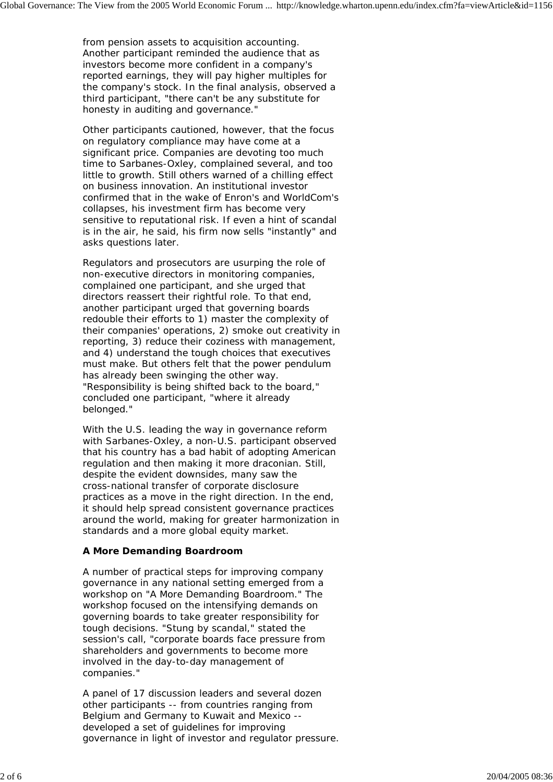from pension assets to acquisition accounting. Another participant reminded the audience that as investors become more confident in a company's reported earnings, they will pay higher multiples for the company's stock. In the final analysis, observed a third participant, "there can't be any substitute for honesty in auditing and governance."

Other participants cautioned, however, that the focus on regulatory compliance may have come at a significant price. Companies are devoting too much time to Sarbanes-Oxley, complained several, and too little to growth. Still others warned of a chilling effect on business innovation. An institutional investor confirmed that in the wake of Enron's and WorldCom's collapses, his investment firm has become very sensitive to reputational risk. If even a hint of scandal is in the air, he said, his firm now sells "instantly" and asks questions later.

Regulators and prosecutors are usurping the role of non-executive directors in monitoring companies, complained one participant, and she urged that directors reassert their rightful role. To that end, another participant urged that governing boards redouble their efforts to 1) master the complexity of their companies' operations, 2) smoke out creativity in reporting, 3) reduce their coziness with management, and 4) understand the tough choices that executives must make. But others felt that the power pendulum has already been swinging the other way. "Responsibility is being shifted back to the board," concluded one participant, "where it already belonged."

With the U.S. leading the way in governance reform with Sarbanes-Oxley, a non-U.S. participant observed that his country has a bad habit of adopting American regulation and then making it more draconian. Still, despite the evident downsides, many saw the cross-national transfer of corporate disclosure practices as a move in the right direction. In the end, it should help spread consistent governance practices around the world, making for greater harmonization in standards and a more global equity market.

## **A More Demanding Boardroom**

A number of practical steps for improving company governance in any national setting emerged from a workshop on "A More Demanding Boardroom." The workshop focused on the intensifying demands on governing boards to take greater responsibility for tough decisions. "Stung by scandal," stated the session's call, "corporate boards face pressure from shareholders and governments to become more involved in the day-to-day management of companies."

A panel of 17 discussion leaders and several dozen other participants -- from countries ranging from Belgium and Germany to Kuwait and Mexico - developed a set of guidelines for improving governance in light of investor and regulator pressure.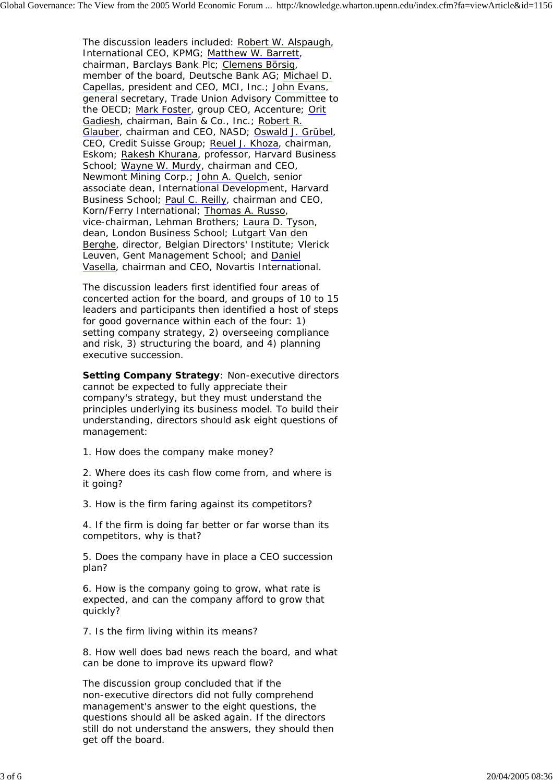The discussion leaders included: Robert W. Alspaugh, International CEO, KPMG; Matthew W. Barrett, chairman, Barclays Bank Plc; Clemens Börsig, member of the board, Deutsche Bank AG; Michael D. Capellas, president and CEO, MCI, Inc.; John Evans, general secretary, Trade Union Advisory Committee to the OECD; Mark Foster, group CEO, Accenture; Orit Gadiesh, chairman, Bain & Co., Inc.; Robert R. Glauber, chairman and CEO, NASD; Oswald J. Grübel, CEO, Credit Suisse Group; Reuel J. Khoza, chairman, Eskom; Rakesh Khurana, professor, Harvard Business School; Wayne W. Murdy, chairman and CEO, Newmont Mining Corp.; John A. Quelch, senior associate dean, International Development, Harvard Business School; Paul C. Reilly, chairman and CEO, Korn/Ferry International; Thomas A. Russo, vice-chairman, Lehman Brothers; Laura D. Tyson, dean, London Business School; Lutgart Van den Berghe, director, Belgian Directors' Institute; Vlerick Leuven, Gent Management School; and Daniel Vasella, chairman and CEO, Novartis International.

The discussion leaders first identified four areas of concerted action for the board, and groups of 10 to 15 leaders and participants then identified a host of steps for good governance within each of the four: 1) setting company strategy, 2) overseeing compliance and risk, 3) structuring the board, and 4) planning executive succession.

**Setting Company Strategy**: Non-executive directors cannot be expected to fully appreciate their company's strategy, but they must understand the principles underlying its business model. To build their understanding, directors should ask eight questions of management:

1. How does the company make money?

2. Where does its cash flow come from, and where is it going?

3. How is the firm faring against its competitors?

4. If the firm is doing far better or far worse than its competitors, why is that?

5. Does the company have in place a CEO succession plan?

6. How is the company going to grow, what rate is expected, and can the company afford to grow that quickly?

7. Is the firm living within its means?

8. How well does bad news reach the board, and what can be done to improve its upward flow?

The discussion group concluded that if the non-executive directors did not fully comprehend management's answer to the eight questions, the questions should all be asked again. If the directors still do not understand the answers, they should then get off the board.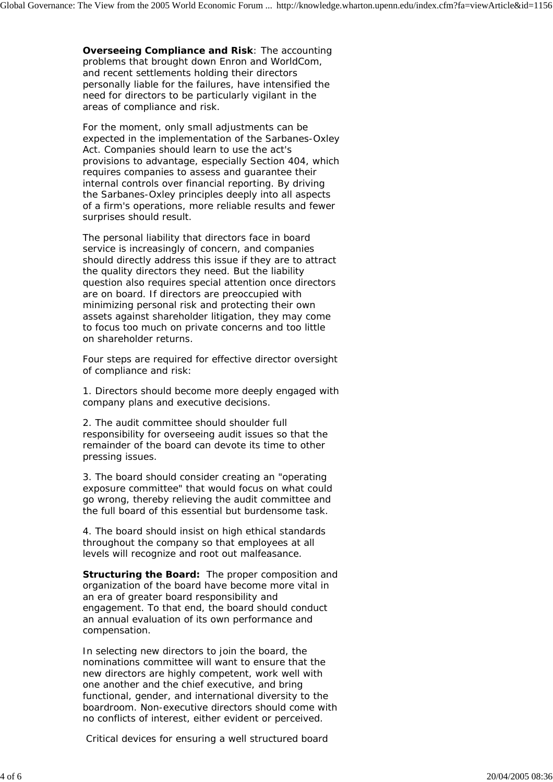**Overseeing Compliance and Risk**: The accounting problems that brought down Enron and WorldCom, and recent settlements holding their directors personally liable for the failures, have intensified the need for directors to be particularly vigilant in the areas of compliance and risk.

For the moment, only small adjustments can be expected in the implementation of the Sarbanes-Oxley Act. Companies should learn to use the act's provisions to advantage, especially Section 404, which requires companies to assess and guarantee their internal controls over financial reporting. By driving the Sarbanes-Oxley principles deeply into all aspects of a firm's operations, more reliable results and fewer surprises should result.

The personal liability that directors face in board service is increasingly of concern, and companies should directly address this issue if they are to attract the quality directors they need. But the liability question also requires special attention once directors are on board. If directors are preoccupied with minimizing personal risk and protecting their own assets against shareholder litigation, they may come to focus too much on private concerns and too little on shareholder returns.

Four steps are required for effective director oversight of compliance and risk:

1. Directors should become more deeply engaged with company plans and executive decisions.

2. The audit committee should shoulder full responsibility for overseeing audit issues so that the remainder of the board can devote its time to other pressing issues.

3. The board should consider creating an "operating exposure committee" that would focus on what could go wrong, thereby relieving the audit committee and the full board of this essential but burdensome task.

4. The board should insist on high ethical standards throughout the company so that employees at all levels will recognize and root out malfeasance.

**Structuring the Board:** The proper composition and organization of the board have become more vital in an era of greater board responsibility and engagement. To that end, the board should conduct an annual evaluation of its own performance and compensation.

In selecting new directors to join the board, the nominations committee will want to ensure that the new directors are highly competent, work well with one another and the chief executive, and bring functional, gender, and international diversity to the boardroom. Non-executive directors should come with no conflicts of interest, either evident or perceived.

Critical devices for ensuring a well structured board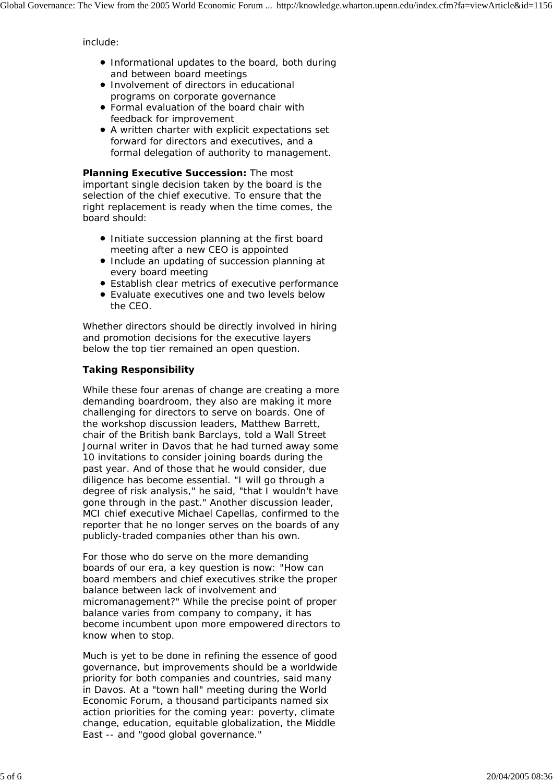include:

- Informational updates to the board, both during and between board meetings
- **Involvement of directors in educational** programs on corporate governance
- Formal evaluation of the board chair with feedback for improvement
- A written charter with explicit expectations set forward for directors and executives, and a formal delegation of authority to management.

**Planning Executive Succession:** The most important single decision taken by the board is the selection of the chief executive. To ensure that the right replacement is ready when the time comes, the board should:

- Initiate succession planning at the first board meeting after a new CEO is appointed
- Include an updating of succession planning at every board meeting
- Establish clear metrics of executive performance
- Evaluate executives one and two levels below the CEO.

Whether directors should be directly involved in hiring and promotion decisions for the executive layers below the top tier remained an open question.

## **Taking Responsibility**

While these four arenas of change are creating a more demanding boardroom, they also are making it more challenging for directors to serve on boards. One of the workshop discussion leaders, Matthew Barrett, chair of the British bank Barclays, told a *Wall Street Journal* writer in Davos that he had turned away some 10 invitations to consider joining boards during the past year. And of those that he would consider, due diligence has become essential. "I will go through a degree of risk analysis," he said, "that I wouldn't have gone through in the past." Another discussion leader, MCI chief executive Michael Capellas, confirmed to the reporter that he no longer serves on the boards of any publicly-traded companies other than his own.

For those who do serve on the more demanding boards of our era, a key question is now: "How can board members and chief executives strike the proper balance between lack of involvement and micromanagement?" While the precise point of proper balance varies from company to company, it has become incumbent upon more empowered directors to know when to stop.

Much is yet to be done in refining the essence of good governance, but improvements should be a worldwide priority for both companies and countries, said many in Davos. At a "town hall" meeting during the World Economic Forum, a thousand participants named six action priorities for the coming year: poverty, climate change, education, equitable globalization, the Middle East -- and "good global governance."